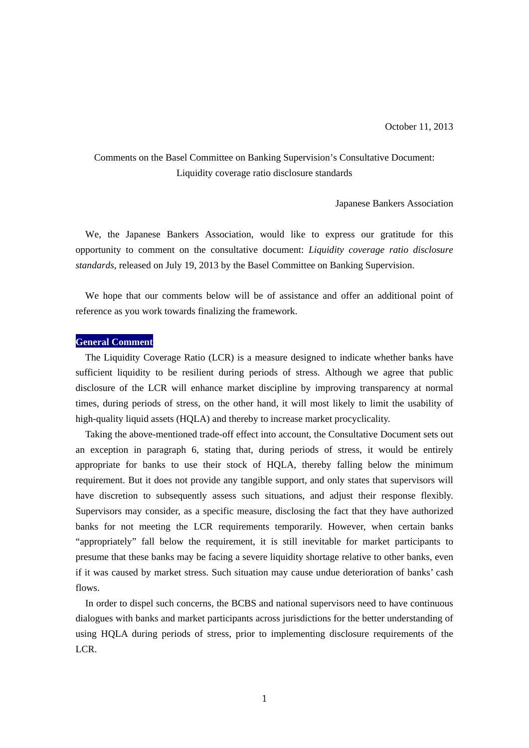# Comments on the Basel Committee on Banking Supervision's Consultative Document: Liquidity coverage ratio disclosure standards

Japanese Bankers Association

We, the Japanese Bankers Association, would like to express our gratitude for this opportunity to comment on the consultative document: *Liquidity coverage ratio disclosure standards,* released on July 19, 2013 by the Basel Committee on Banking Supervision.

We hope that our comments below will be of assistance and offer an additional point of reference as you work towards finalizing the framework.

#### **General Comment**

The Liquidity Coverage Ratio (LCR) is a measure designed to indicate whether banks have sufficient liquidity to be resilient during periods of stress. Although we agree that public disclosure of the LCR will enhance market discipline by improving transparency at normal times, during periods of stress, on the other hand, it will most likely to limit the usability of high-quality liquid assets (HQLA) and thereby to increase market procyclicality.

Taking the above-mentioned trade-off effect into account, the Consultative Document sets out an exception in paragraph 6, stating that, during periods of stress, it would be entirely appropriate for banks to use their stock of HQLA, thereby falling below the minimum requirement. But it does not provide any tangible support, and only states that supervisors will have discretion to subsequently assess such situations, and adjust their response flexibly. Supervisors may consider, as a specific measure, disclosing the fact that they have authorized banks for not meeting the LCR requirements temporarily. However, when certain banks "appropriately" fall below the requirement, it is still inevitable for market participants to presume that these banks may be facing a severe liquidity shortage relative to other banks, even if it was caused by market stress. Such situation may cause undue deterioration of banks' cash flows.

In order to dispel such concerns, the BCBS and national supervisors need to have continuous dialogues with banks and market participants across jurisdictions for the better understanding of using HQLA during periods of stress, prior to implementing disclosure requirements of the LCR.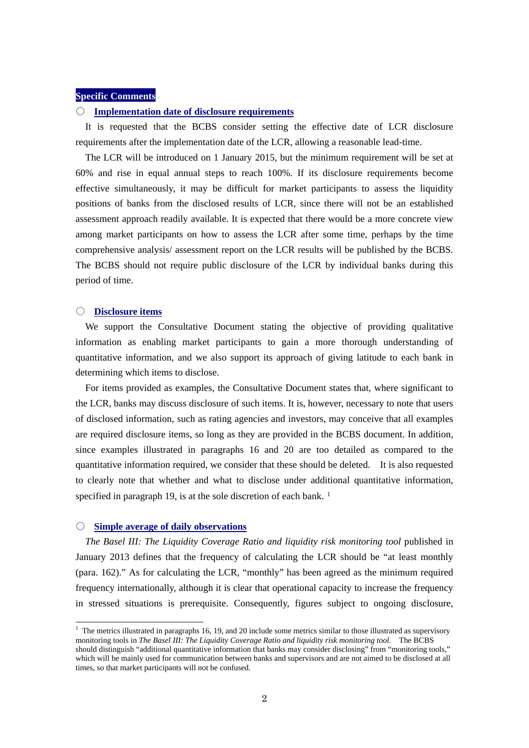## **Specific Comments**

## ○ **Implementation date of disclosure requirements**

It is requested that the BCBS consider setting the effective date of LCR disclosure requirements after the implementation date of the LCR, allowing a reasonable lead-time.

The LCR will be introduced on 1 January 2015, but the minimum requirement will be set at 60% and rise in equal annual steps to reach 100%. If its disclosure requirements become effective simultaneously, it may be difficult for market participants to assess the liquidity positions of banks from the disclosed results of LCR, since there will not be an established assessment approach readily available. It is expected that there would be a more concrete view among market participants on how to assess the LCR after some time, perhaps by the time comprehensive analysis/ assessment report on the LCR results will be published by the BCBS. The BCBS should not require public disclosure of the LCR by individual banks during this period of time.

### ○ **Disclosure items**

We support the Consultative Document stating the objective of providing qualitative information as enabling market participants to gain a more thorough understanding of quantitative information, and we also support its approach of giving latitude to each bank in determining which items to disclose.

For items provided as examples, the Consultative Document states that, where significant to the LCR, banks may discuss disclosure of such items. It is, however, necessary to note that users of disclosed information, such as rating agencies and investors, may conceive that all examples are required disclosure items, so long as they are provided in the BCBS document. In addition, since examples illustrated in paragraphs 16 and 20 are too detailed as compared to the quantitative information required, we consider that these should be deleted. It is also requested to clearly note that whether and what to disclose under additional quantitative information, specified in paragraph 19, is at the sole discretion of each bank.<sup>1</sup>

#### ○ **Simple average of daily observations**

*The Basel III: The Liquidity Coverage Ratio and liquidity risk monitoring tool published in* January 2013 defines that the frequency of calculating the LCR should be "at least monthly (para. 162)." As for calculating the LCR, "monthly" has been agreed as the minimum required frequency internationally, although it is clear that operational capacity to increase the frequency in stressed situations is prerequisite. Consequently, figures subject to ongoing disclosure,

The metrics illustrated in paragraphs 16, 19, and 20 include some metrics similar to those illustrated as supervisory monitoring tools in *The Basel III: The Liquidity Coverage Ratio and liquidity risk monitoring tool*. The BCBS should distinguish "additional quantitative information that banks may consider disclosing" from "monitoring tools," which will be mainly used for communication between banks and supervisors and are not aimed to be disclosed at all times, so that market participants will not be confused.